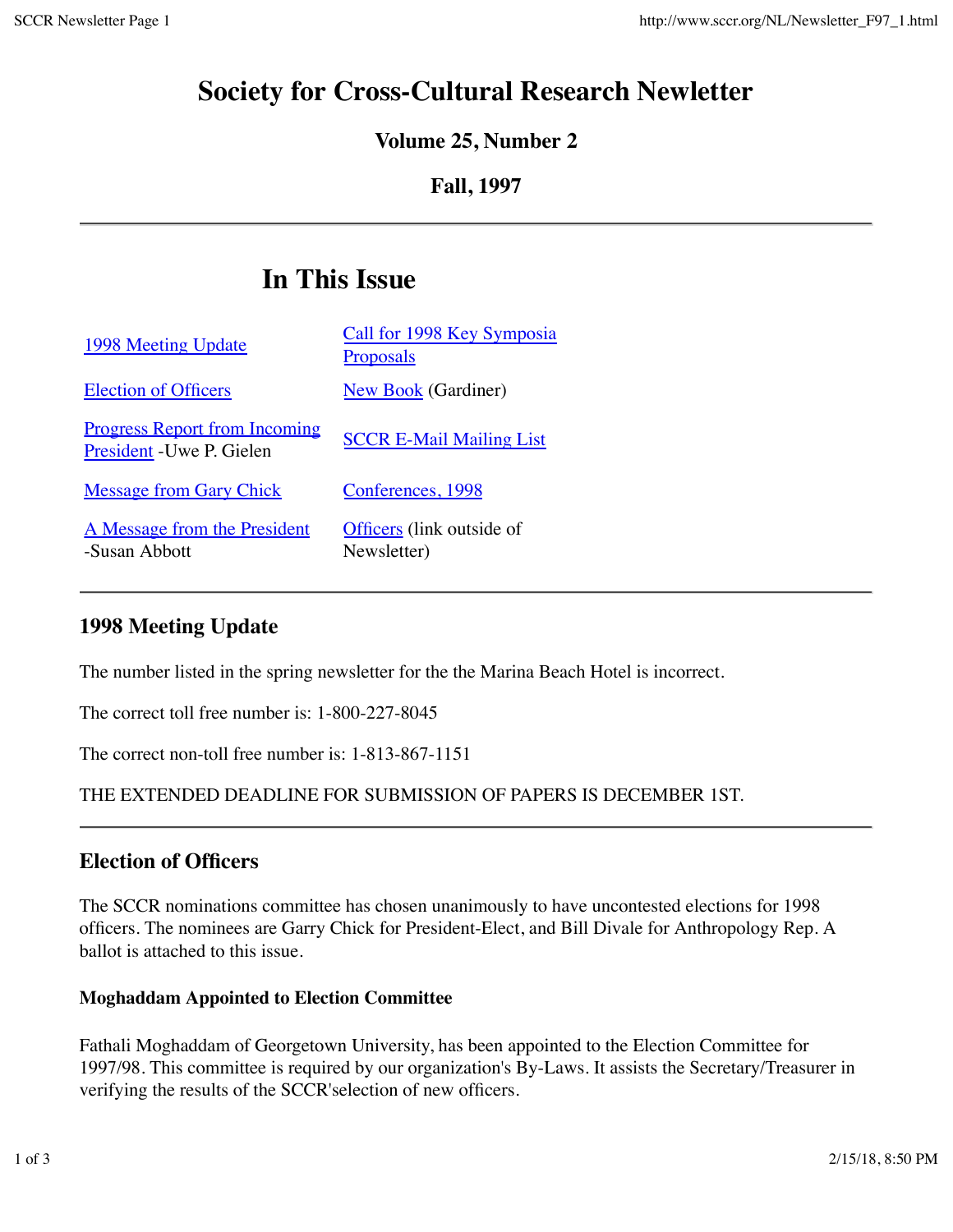# **Society for Cross-Cultural Research Newletter**

# **Volume 25, Number 2**

## **Fall, 1997**

# **In This Issue**

| 1998 Meeting Update                                               | Call for 1998 Key Symposia<br>Proposals  |
|-------------------------------------------------------------------|------------------------------------------|
| <b>Election of Officers</b>                                       | <b>New Book</b> (Gardiner)               |
| <u>Progress Report from Incoming</u><br>President - Uwe P. Gielen | <b>SCCR E-Mail Mailing List</b>          |
| <b>Message from Gary Chick</b>                                    | Conferences, 1998                        |
| A Message from the President<br>-Susan Abbott                     | Officers (link outside of<br>Newsletter) |

# **1998 Meeting Update**

The number listed in the spring newsletter for the the Marina Beach Hotel is incorrect.

The correct toll free number is: 1-800-227-8045

The correct non-toll free number is: 1-813-867-1151

THE EXTENDED DEADLINE FOR SUBMISSION OF PAPERS IS DECEMBER 1ST.

# **Election of Officers**

The SCCR nominations committee has chosen unanimously to have uncontested elections for 1998 officers. The nominees are Garry Chick for President-Elect, and Bill Divale for Anthropology Rep. A ballot is attached to this issue.

#### **Moghaddam Appointed to Election Committee**

Fathali Moghaddam of Georgetown University, has been appointed to the Election Committee for 1997/98. This committee is required by our organization's By-Laws. It assists the Secretary/Treasurer in verifying the results of the SCCR'selection of new officers.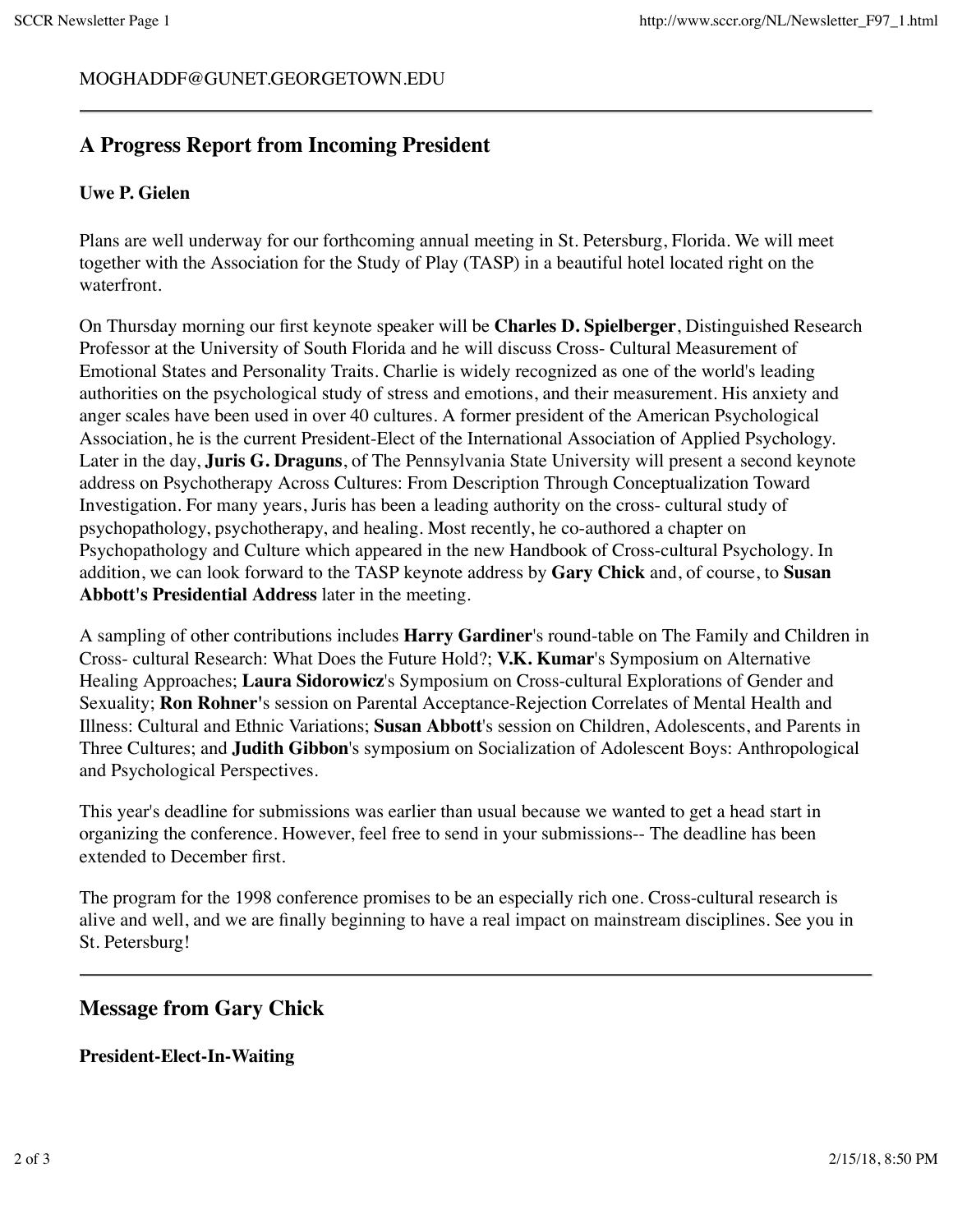#### MOGHADDF@GUNET.GEORGETOWN.EDU

### **A Progress Report from Incoming President**

#### **Uwe P. Gielen**

Plans are well underway for our forthcoming annual meeting in St. Petersburg, Florida. We will meet together with the Association for the Study of Play (TASP) in a beautiful hotel located right on the waterfront.

On Thursday morning our first keynote speaker will be **Charles D. Spielberger**, Distinguished Research Professor at the University of South Florida and he will discuss Cross- Cultural Measurement of Emotional States and Personality Traits. Charlie is widely recognized as one of the world's leading authorities on the psychological study of stress and emotions, and their measurement. His anxiety and anger scales have been used in over 40 cultures. A former president of the American Psychological Association, he is the current President-Elect of the International Association of Applied Psychology. Later in the day, **Juris G. Draguns**, of The Pennsylvania State University will present a second keynote address on Psychotherapy Across Cultures: From Description Through Conceptualization Toward Investigation. For many years, Juris has been a leading authority on the cross- cultural study of psychopathology, psychotherapy, and healing. Most recently, he co-authored a chapter on Psychopathology and Culture which appeared in the new Handbook of Cross-cultural Psychology. In addition, we can look forward to the TASP keynote address by **Gary Chick** and, of course, to **Susan Abbott's Presidential Address** later in the meeting.

A sampling of other contributions includes **Harry Gardiner**'s round-table on The Family and Children in Cross- cultural Research: What Does the Future Hold?; **V.K. Kumar**'s Symposium on Alternative Healing Approaches; **Laura Sidorowicz**'s Symposium on Cross-cultural Explorations of Gender and Sexuality; **Ron Rohner'**s session on Parental Acceptance-Rejection Correlates of Mental Health and Illness: Cultural and Ethnic Variations; **Susan Abbott**'s session on Children, Adolescents, and Parents in Three Cultures; and **Judith Gibbon**'s symposium on Socialization of Adolescent Boys: Anthropological and Psychological Perspectives.

This year's deadline for submissions was earlier than usual because we wanted to get a head start in organizing the conference. However, feel free to send in your submissions-- The deadline has been extended to December first.

The program for the 1998 conference promises to be an especially rich one. Cross-cultural research is alive and well, and we are finally beginning to have a real impact on mainstream disciplines. See you in St. Petersburg!

### **Message from Gary Chick**

#### **President-Elect-In-Waiting**